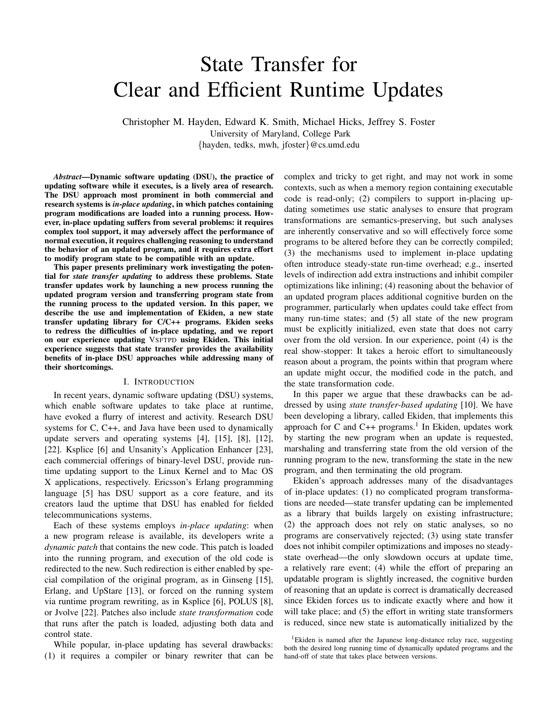# State Transfer for Clear and Efficient Runtime Updates

Christopher M. Hayden, Edward K. Smith, Michael Hicks, Jeffrey S. Foster University of Maryland, College Park {hayden, tedks, mwh, jfoster}@cs.umd.edu

*Abstract*—Dynamic software updating (DSU), the practice of updating software while it executes, is a lively area of research. The DSU approach most prominent in both commercial and research systems is *in-place updating*, in which patches containing program modifications are loaded into a running process. However, in-place updating suffers from several problems: it requires complex tool support, it may adversely affect the performance of normal execution, it requires challenging reasoning to understand the behavior of an updated program, and it requires extra effort to modify program state to be compatible with an update.

This paper presents preliminary work investigating the potential for *state transfer updating* to address these problems. State transfer updates work by launching a new process running the updated program version and transferring program state from the running process to the updated version. In this paper, we describe the use and implementation of Ekiden, a new state transfer updating library for C/C++ programs. Ekiden seeks to redress the difficulties of in-place updating, and we report on our experience updating VSFTPD using Ekiden. This initial experience suggests that state transfer provides the availability benefits of in-place DSU approaches while addressing many of their shortcomings.

## I. INTRODUCTION

In recent years, dynamic software updating (DSU) systems, which enable software updates to take place at runtime, have evoked a flurry of interest and activity. Research DSU systems for C, C++, and Java have been used to dynamically update servers and operating systems [4], [15], [8], [12], [22]. Ksplice [6] and Unsanity's Application Enhancer [23], each commercial offerings of binary-level DSU, provide runtime updating support to the Linux Kernel and to Mac OS X applications, respectively. Ericsson's Erlang programming language [5] has DSU support as a core feature, and its creators laud the uptime that DSU has enabled for fielded telecommunications systems.

Each of these systems employs *in-place updating*: when a new program release is available, its developers write a *dynamic patch* that contains the new code. This patch is loaded into the running program, and execution of the old code is redirected to the new. Such redirection is either enabled by special compilation of the original program, as in Ginseng [15], Erlang, and UpStare [13], or forced on the running system via runtime program rewriting, as in Ksplice [6], POLUS [8], or Jvolve [22]. Patches also include *state transformation* code that runs after the patch is loaded, adjusting both data and control state.

While popular, in-place updating has several drawbacks: (1) it requires a compiler or binary rewriter that can be complex and tricky to get right, and may not work in some contexts, such as when a memory region containing executable code is read-only; (2) compilers to support in-placing updating sometimes use static analyses to ensure that program transformations are semantics-preserving, but such analyses are inherently conservative and so will effectively force some programs to be altered before they can be correctly compiled; (3) the mechanisms used to implement in-place updating often introduce steady-state run-time overhead; e.g., inserted levels of indirection add extra instructions and inhibit compiler optimizations like inlining; (4) reasoning about the behavior of an updated program places additional cognitive burden on the programmer, particularly when updates could take effect from many run-time states; and (5) all state of the new program must be explicitly initialized, even state that does not carry over from the old version. In our experience, point (4) is the real show-stopper: It takes a heroic effort to simultaneously reason about a program, the points within that program where an update might occur, the modified code in the patch, and the state transformation code.

In this paper we argue that these drawbacks can be addressed by using *state transfer-based updating* [10]. We have been developing a library, called Ekiden, that implements this approach for C and C++ programs.<sup>1</sup> In Ekiden, updates work by starting the new program when an update is requested, marshaling and transferring state from the old version of the running program to the new, transforming the state in the new program, and then terminating the old program.

Ekiden's approach addresses many of the disadvantages of in-place updates: (1) no complicated program transformations are needed—state transfer updating can be implemented as a library that builds largely on existing infrastructure; (2) the approach does not rely on static analyses, so no programs are conservatively rejected; (3) using state transfer does not inhibit compiler optimizations and imposes no steadystate overhead—the only slowdown occurs at update time, a relatively rare event; (4) while the effort of preparing an updatable program is slightly increased, the cognitive burden of reasoning that an update is correct is dramatically decreased since Ekiden forces us to indicate exactly where and how it will take place; and (5) the effort in writing state transformers is reduced, since new state is automatically initialized by the

<sup>&</sup>lt;sup>1</sup>Ekiden is named after the Japanese long-distance relay race, suggesting both the desired long running time of dynamically updated programs and the hand-off of state that takes place between versions.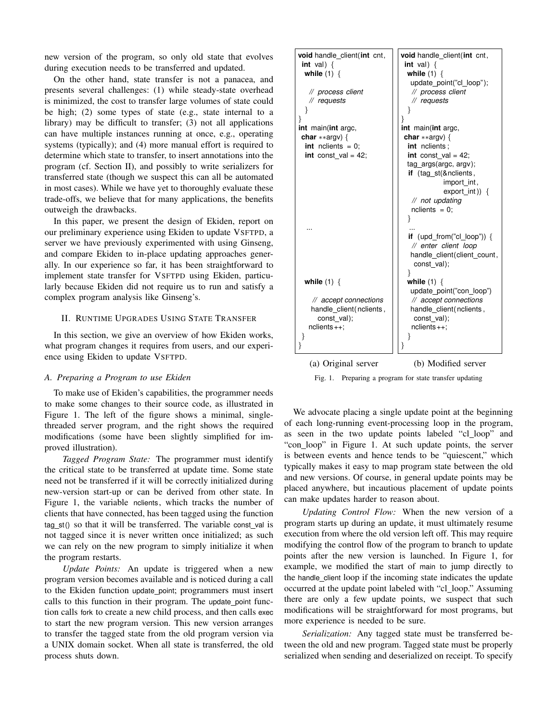new version of the program, so only old state that evolves during execution needs to be transferred and updated.

On the other hand, state transfer is not a panacea, and presents several challenges: (1) while steady-state overhead is minimized, the cost to transfer large volumes of state could be high; (2) some types of state (e.g., state internal to a library) may be difficult to transfer; (3) not all applications can have multiple instances running at once, e.g., operating systems (typically); and (4) more manual effort is required to determine which state to transfer, to insert annotations into the program (cf. Section II), and possibly to write serializers for transferred state (though we suspect this can all be automated in most cases). While we have yet to thoroughly evaluate these trade-offs, we believe that for many applications, the benefits outweigh the drawbacks.

In this paper, we present the design of Ekiden, report on our preliminary experience using Ekiden to update VSFTPD, a server we have previously experimented with using Ginseng, and compare Ekiden to in-place updating approaches generally. In our experience so far, it has been straightforward to implement state transfer for VSFTPD using Ekiden, particularly because Ekiden did not require us to run and satisfy a complex program analysis like Ginseng's.

## II. RUNTIME UPGRADES USING STATE TRANSFER

In this section, we give an overview of how Ekiden works, what program changes it requires from users, and our experience using Ekiden to update VSFTPD.

#### *A. Preparing a Program to use Ekiden*

To make use of Ekiden's capabilities, the programmer needs to make some changes to their source code, as illustrated in Figure 1. The left of the figure shows a minimal, singlethreaded server program, and the right shows the required modifications (some have been slightly simplified for improved illustration).

*Tagged Program State:* The programmer must identify the critical state to be transferred at update time. Some state need not be transferred if it will be correctly initialized during new-version start-up or can be derived from other state. In Figure 1, the variable nclients, which tracks the number of clients that have connected, has been tagged using the function tag st () so that it will be transferred. The variable const val is not tagged since it is never written once initialized; as such we can rely on the new program to simply initialize it when the program restarts.

*Update Points:* An update is triggered when a new program version becomes available and is noticed during a call to the Ekiden function update point; programmers must insert calls to this function in their program. The update\_point function calls fork to create a new child process, and then calls exec to start the new program version. This new version arranges to transfer the tagged state from the old program version via a UNIX domain socket. When all state is transferred, the old process shuts down.



Fig. 1. Preparing a program for state transfer updating

We advocate placing a single update point at the beginning of each long-running event-processing loop in the program, as seen in the two update points labeled "cl loop" and "con loop" in Figure 1. At such update points, the server is between events and hence tends to be "quiescent," which typically makes it easy to map program state between the old and new versions. Of course, in general update points may be placed anywhere, but incautious placement of update points can make updates harder to reason about.

*Updating Control Flow:* When the new version of a program starts up during an update, it must ultimately resume execution from where the old version left off. This may require modifying the control flow of the program to branch to update points after the new version is launched. In Figure 1, for example, we modified the start of main to jump directly to the handle client loop if the incoming state indicates the update occurred at the update point labeled with "cl loop." Assuming there are only a few update points, we suspect that such modifications will be straightforward for most programs, but more experience is needed to be sure.

*Serialization:* Any tagged state must be transferred between the old and new program. Tagged state must be properly serialized when sending and deserialized on receipt. To specify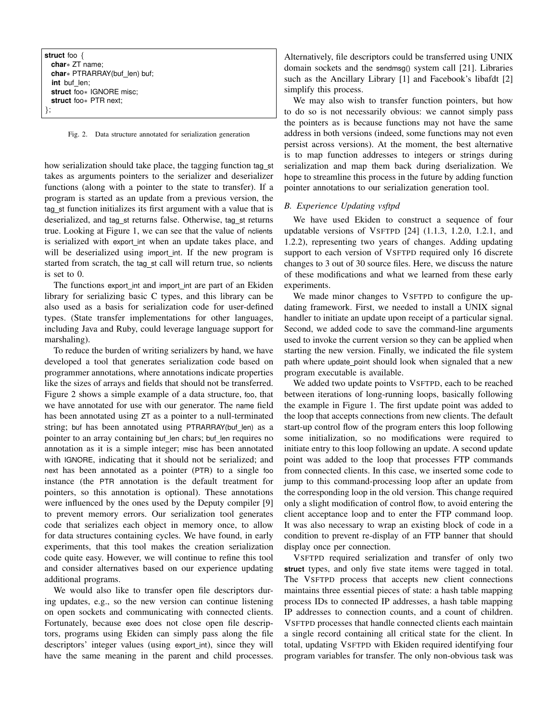**struct** foo { **char**∗ ZT name; char<sup>∗</sup> PTRARRAY(buf\_len) buf; **int** buf len; **struct** foo∗ IGNORE misc; **struct** foo∗ PTR next; };

Fig. 2. Data structure annotated for serialization generation

how serialization should take place, the tagging function tag\_st takes as arguments pointers to the serializer and deserializer functions (along with a pointer to the state to transfer). If a program is started as an update from a previous version, the tag st function initializes its first argument with a value that is deserialized, and tag\_st returns false. Otherwise, tag\_st returns true. Looking at Figure 1, we can see that the value of nclients is serialized with export int when an update takes place, and will be deserialized using import int. If the new program is started from scratch, the tag\_st call will return true, so nclients is set to 0.

The functions export int and import int are part of an Ekiden library for serializing basic C types, and this library can be also used as a basis for serialization code for user-defined types. (State transfer implementations for other languages, including Java and Ruby, could leverage language support for marshaling).

To reduce the burden of writing serializers by hand, we have developed a tool that generates serialization code based on programmer annotations, where annotations indicate properties like the sizes of arrays and fields that should not be transferred. Figure 2 shows a simple example of a data structure, foo, that we have annotated for use with our generator. The name field has been annotated using ZT as a pointer to a null-terminated string; buf has been annotated using PTRARRAY(buf len) as a pointer to an array containing buf len chars; buf len requires no annotation as it is a simple integer; misc has been annotated with IGNORE, indicating that it should not be serialized; and next has been annotated as a pointer (PTR) to a single foo instance (the PTR annotation is the default treatment for pointers, so this annotation is optional). These annotations were influenced by the ones used by the Deputy compiler [9] to prevent memory errors. Our serialization tool generates code that serializes each object in memory once, to allow for data structures containing cycles. We have found, in early experiments, that this tool makes the creation serialization code quite easy. However, we will continue to refine this tool and consider alternatives based on our experience updating additional programs.

We would also like to transfer open file descriptors during updates, e.g., so the new version can continue listening on open sockets and communicating with connected clients. Fortunately, because exec does not close open file descriptors, programs using Ekiden can simply pass along the file descriptors' integer values (using export\_int), since they will have the same meaning in the parent and child processes.

Alternatively, file descriptors could be transferred using UNIX domain sockets and the sendmsg() system call [21]. Libraries such as the Ancillary Library [1] and Facebook's libafdt [2] simplify this process.

We may also wish to transfer function pointers, but how to do so is not necessarily obvious: we cannot simply pass the pointers as is because functions may not have the same address in both versions (indeed, some functions may not even persist across versions). At the moment, the best alternative is to map function addresses to integers or strings during serialization and map them back during dserialization. We hope to streamline this process in the future by adding function pointer annotations to our serialization generation tool.

## *B. Experience Updating vsftpd*

We have used Ekiden to construct a sequence of four updatable versions of VSFTPD [24] (1.1.3, 1.2.0, 1.2.1, and 1.2.2), representing two years of changes. Adding updating support to each version of VSFTPD required only 16 discrete changes to 3 out of 30 source files. Here, we discuss the nature of these modifications and what we learned from these early experiments.

We made minor changes to VSFTPD to configure the updating framework. First, we needed to install a UNIX signal handler to initiate an update upon receipt of a particular signal. Second, we added code to save the command-line arguments used to invoke the current version so they can be applied when starting the new version. Finally, we indicated the file system path where update point should look when signaled that a new program executable is available.

We added two update points to VSFTPD, each to be reached between iterations of long-running loops, basically following the example in Figure 1. The first update point was added to the loop that accepts connections from new clients. The default start-up control flow of the program enters this loop following some initialization, so no modifications were required to initiate entry to this loop following an update. A second update point was added to the loop that processes FTP commands from connected clients. In this case, we inserted some code to jump to this command-processing loop after an update from the corresponding loop in the old version. This change required only a slight modification of control flow, to avoid entering the client acceptance loop and to enter the FTP command loop. It was also necessary to wrap an existing block of code in a condition to prevent re-display of an FTP banner that should display once per connection.

VSFTPD required serialization and transfer of only two **struct** types, and only five state items were tagged in total. The VSFTPD process that accepts new client connections maintains three essential pieces of state: a hash table mapping process IDs to connected IP addresses, a hash table mapping IP addresses to connection counts, and a count of children. VSFTPD processes that handle connected clients each maintain a single record containing all critical state for the client. In total, updating VSFTPD with Ekiden required identifying four program variables for transfer. The only non-obvious task was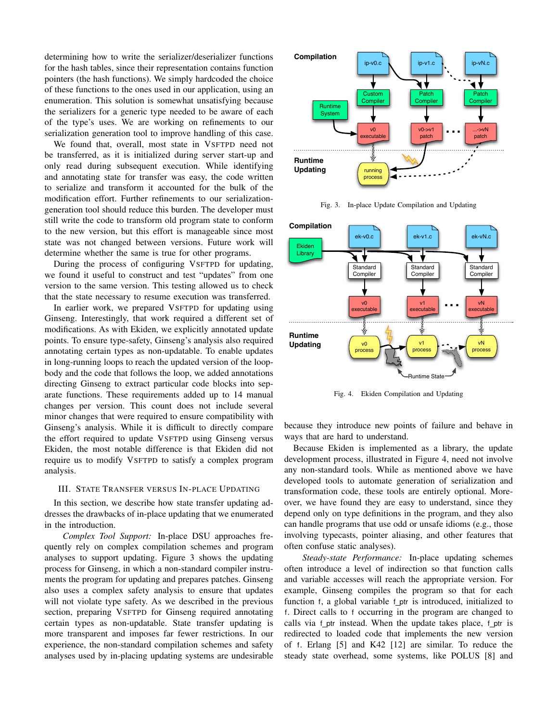determining how to write the serializer/deserializer functions for the hash tables, since their representation contains function pointers (the hash functions). We simply hardcoded the choice of these functions to the ones used in our application, using an enumeration. This solution is somewhat unsatisfying because the serializers for a generic type needed to be aware of each of the type's uses. We are working on refinements to our serialization generation tool to improve handling of this case.

We found that, overall, most state in VSFTPD need not be transferred, as it is initialized during server start-up and only read during subsequent execution. While identifying and annotating state for transfer was easy, the code written to serialize and transform it accounted for the bulk of the modification effort. Further refinements to our serializationgeneration tool should reduce this burden. The developer must still write the code to transform old program state to conform to the new version, but this effort is manageable since most state was not changed between versions. Future work will determine whether the same is true for other programs.

During the process of configuring VSFTPD for updating, we found it useful to construct and test "updates" from one version to the same version. This testing allowed us to check that the state necessary to resume execution was transferred.

In earlier work, we prepared VSFTPD for updating using Ginseng. Interestingly, that work required a different set of modifications. As with Ekiden, we explicitly annotated update points. To ensure type-safety, Ginseng's analysis also required annotating certain types as non-updatable. To enable updates in long-running loops to reach the updated version of the loopbody and the code that follows the loop, we added annotations directing Ginseng to extract particular code blocks into separate functions. These requirements added up to 14 manual changes per version. This count does not include several minor changes that were required to ensure compatibility with Ginseng's analysis. While it is difficult to directly compare the effort required to update VSFTPD using Ginseng versus Ekiden, the most notable difference is that Ekiden did not require us to modify VSFTPD to satisfy a complex program analysis.

## III. STATE TRANSFER VERSUS IN-PLACE UPDATING

In this section, we describe how state transfer updating addresses the drawbacks of in-place updating that we enumerated in the introduction.

*Complex Tool Support:* In-place DSU approaches frequently rely on complex compilation schemes and program analyses to support updating. Figure 3 shows the updating process for Ginseng, in which a non-standard compiler instruments the program for updating and prepares patches. Ginseng also uses a complex safety analysis to ensure that updates will not violate type safety. As we described in the previous section, preparing VSFTPD for Ginseng required annotating certain types as non-updatable. State transfer updating is more transparent and imposes far fewer restrictions. In our experience, the non-standard compilation schemes and safety analyses used by in-placing updating systems are undesirable



Fig. 3. In-place Update Compilation and Updating



Fig. 4. Ekiden Compilation and Updating

because they introduce new points of failure and behave in ways that are hard to understand.

Because Ekiden is implemented as a library, the update development process, illustrated in Figure 4, need not involve any non-standard tools. While as mentioned above we have developed tools to automate generation of serialization and transformation code, these tools are entirely optional. Moreover, we have found they are easy to understand, since they depend only on type definitions in the program, and they also can handle programs that use odd or unsafe idioms (e.g., those involving typecasts, pointer aliasing, and other features that often confuse static analyses).

*Steady-state Performance:* In-place updating schemes often introduce a level of indirection so that function calls and variable accesses will reach the appropriate version. For example, Ginseng compiles the program so that for each function f, a global variable f\_ptr is introduced, initialized to f. Direct calls to f occurring in the program are changed to calls via f ptr instead. When the update takes place, f ptr is redirected to loaded code that implements the new version of f. Erlang [5] and K42 [12] are similar. To reduce the steady state overhead, some systems, like POLUS [8] and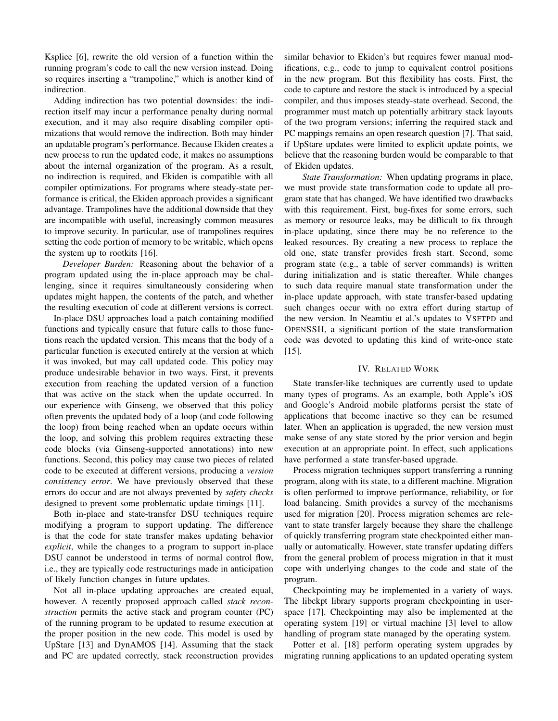Ksplice [6], rewrite the old version of a function within the running program's code to call the new version instead. Doing so requires inserting a "trampoline," which is another kind of indirection.

Adding indirection has two potential downsides: the indirection itself may incur a performance penalty during normal execution, and it may also require disabling compiler optimizations that would remove the indirection. Both may hinder an updatable program's performance. Because Ekiden creates a new process to run the updated code, it makes no assumptions about the internal organization of the program. As a result, no indirection is required, and Ekiden is compatible with all compiler optimizations. For programs where steady-state performance is critical, the Ekiden approach provides a significant advantage. Trampolines have the additional downside that they are incompatible with useful, increasingly common measures to improve security. In particular, use of trampolines requires setting the code portion of memory to be writable, which opens the system up to rootkits [16].

*Developer Burden:* Reasoning about the behavior of a program updated using the in-place approach may be challenging, since it requires simultaneously considering when updates might happen, the contents of the patch, and whether the resulting execution of code at different versions is correct.

In-place DSU approaches load a patch containing modified functions and typically ensure that future calls to those functions reach the updated version. This means that the body of a particular function is executed entirely at the version at which it was invoked, but may call updated code. This policy may produce undesirable behavior in two ways. First, it prevents execution from reaching the updated version of a function that was active on the stack when the update occurred. In our experience with Ginseng, we observed that this policy often prevents the updated body of a loop (and code following the loop) from being reached when an update occurs within the loop, and solving this problem requires extracting these code blocks (via Ginseng-supported annotations) into new functions. Second, this policy may cause two pieces of related code to be executed at different versions, producing a *version consistency error*. We have previously observed that these errors do occur and are not always prevented by *safety checks* designed to prevent some problematic update timings [11].

Both in-place and state-transfer DSU techniques require modifying a program to support updating. The difference is that the code for state transfer makes updating behavior *explicit*, while the changes to a program to support in-place DSU cannot be understood in terms of normal control flow, i.e., they are typically code restructurings made in anticipation of likely function changes in future updates.

Not all in-place updating approaches are created equal, however. A recently proposed approach called *stack reconstruction* permits the active stack and program counter (PC) of the running program to be updated to resume execution at the proper position in the new code. This model is used by UpStare [13] and DynAMOS [14]. Assuming that the stack and PC are updated correctly, stack reconstruction provides similar behavior to Ekiden's but requires fewer manual modifications, e.g., code to jump to equivalent control positions in the new program. But this flexibility has costs. First, the code to capture and restore the stack is introduced by a special compiler, and thus imposes steady-state overhead. Second, the programmer must match up potentially arbitrary stack layouts of the two program versions; inferring the required stack and PC mappings remains an open research question [7]. That said, if UpStare updates were limited to explicit update points, we believe that the reasoning burden would be comparable to that of Ekiden updates.

*State Transformation:* When updating programs in place, we must provide state transformation code to update all program state that has changed. We have identified two drawbacks with this requirement. First, bug-fixes for some errors, such as memory or resource leaks, may be difficult to fix through in-place updating, since there may be no reference to the leaked resources. By creating a new process to replace the old one, state transfer provides fresh start. Second, some program state (e.g., a table of server commands) is written during initialization and is static thereafter. While changes to such data require manual state transformation under the in-place update approach, with state transfer-based updating such changes occur with no extra effort during startup of the new version. In Neamtiu et al.'s updates to VSFTPD and OPENSSH, a significant portion of the state transformation code was devoted to updating this kind of write-once state [15].

## IV. RELATED WORK

State transfer-like techniques are currently used to update many types of programs. As an example, both Apple's iOS and Google's Android mobile platforms persist the state of applications that become inactive so they can be resumed later. When an application is upgraded, the new version must make sense of any state stored by the prior version and begin execution at an appropriate point. In effect, such applications have performed a state transfer-based upgrade.

Process migration techniques support transferring a running program, along with its state, to a different machine. Migration is often performed to improve performance, reliability, or for load balancing. Smith provides a survey of the mechanisms used for migration [20]. Process migration schemes are relevant to state transfer largely because they share the challenge of quickly transferring program state checkpointed either manually or automatically. However, state transfer updating differs from the general problem of process migration in that it must cope with underlying changes to the code and state of the program.

Checkpointing may be implemented in a variety of ways. The libckpt library supports program checkpointing in userspace [17]. Checkpointing may also be implemented at the operating system [19] or virtual machine [3] level to allow handling of program state managed by the operating system.

Potter et al. [18] perform operating system upgrades by migrating running applications to an updated operating system